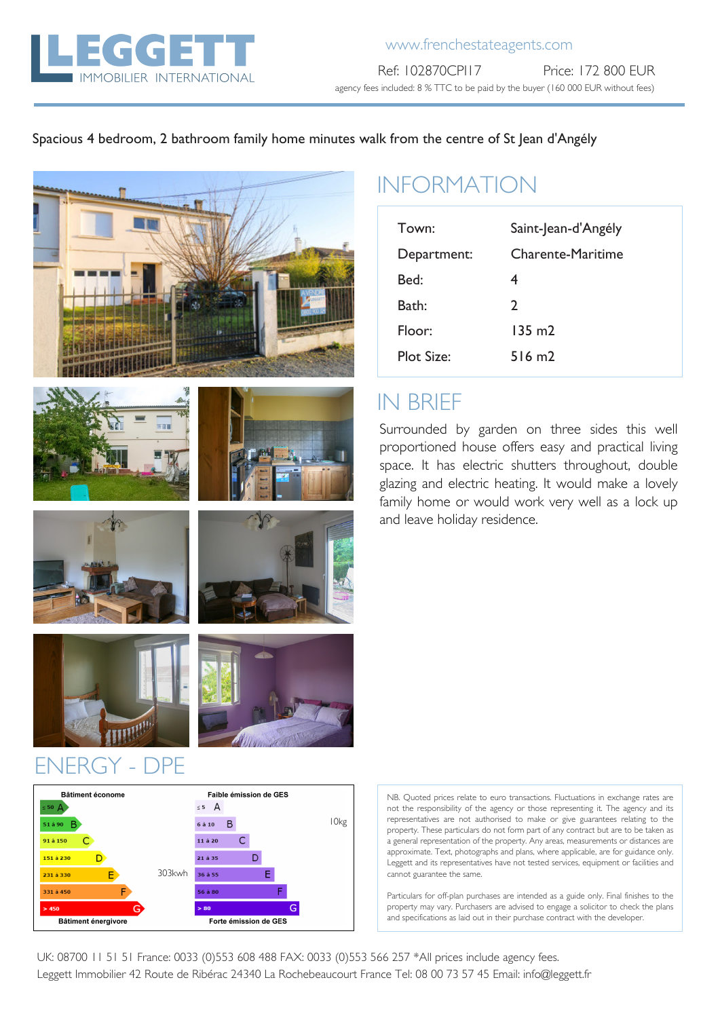

#### Spacious 4 bedroom, 2 bathroom family home minutes walk from the centre of St Jean d'Angély







# INFORMATION

| Town:       | Saint-Jean-d'Angély |  |  |  |
|-------------|---------------------|--|--|--|
| Department: | Charente-Maritime   |  |  |  |
| Bed:        | 4                   |  |  |  |
| Bath:       | $\mathcal{L}$       |  |  |  |
| Floor:      | 135 m2              |  |  |  |
| Plot Size:  | $516 \text{ m}$     |  |  |  |

### IN BRIEF

Surrounded by garden on three sides this well proportioned house offers easy and practical living space. It has electric shutters throughout, double glazing and electric heating. It would make a lovely family home or would work very well as a lock up and leave holiday residence.





### ENERGY - DPE

| <b>Bâtiment économe</b>    |        | Faible émission de GES |   |  |   |   |   |                  |
|----------------------------|--------|------------------------|---|--|---|---|---|------------------|
| $\leq 50$ $\Delta$         |        | $\leq$ 5<br>A          |   |  |   |   |   |                  |
| 51 à 90<br>в               |        | 6 à 10                 | В |  |   |   |   | 10 <sub>kg</sub> |
| 91 à 150                   |        | 11 à 20                |   |  |   |   |   |                  |
| 151 à 230                  |        | 21 à 35                |   |  |   |   |   |                  |
| F<br>231 à 330             | 303kwh | 36 à 55                |   |  | F |   |   |                  |
| F<br>331 à 450             |        | 56 à 80                |   |  |   | F |   |                  |
| > 450<br>G                 |        | > 80                   |   |  |   |   | G |                  |
| <b>Bâtiment énergivore</b> |        | Forte émission de GES  |   |  |   |   |   |                  |

NB. Quoted prices relate to euro transactions. Fluctuations in exchange rates are not the responsibility of the agency or those representing it. The agency and its representatives are not authorised to make or give guarantees relating to the property. These particulars do not form part of any contract but are to be taken as a general representation of the property. Any areas, measurements or distances are approximate. Text, photographs and plans, where applicable, are for guidance only. Leggett and its representatives have not tested services, equipment or facilities and cannot guarantee the same.

Particulars for off-plan purchases are intended as a guide only. Final finishes to the property may vary. Purchasers are advised to engage a solicitor to check the plans and specifications as laid out in their purchase contract with the developer.

UK: 08700 11 51 51 France: 0033 (0)553 608 488 FAX: 0033 (0)553 566 257 \*All prices include agency fees. Leggett Immobilier 42 Route de Ribérac 24340 La Rochebeaucourt France Tel: 08 00 73 57 45 Email: info@leggett.fr